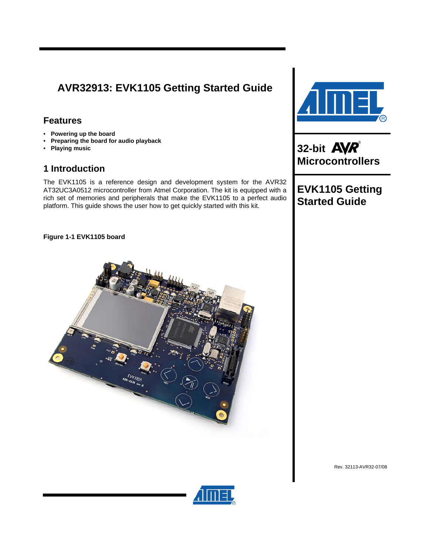# **AVR32913: EVK1105 Getting Started Guide**

# **Features**

- **Powering up the board**
- **Preparing the board for audio playback**
- **Playing music**

# **1 Introduction**

The EVK1105 is a reference design and development system for the AVR32 AT32UC3A0512 microcontroller from Atmel Corporation. The kit is equipped with a rich set of memories and peripherals that make the EVK1105 to a perfect audio platform. This guide shows the user how to get quickly started with this kit.



**32-bit Microcontrollers** 

**EVK1105 Getting Started Guide** 

**Figure 1-1 EVK1105 board** 



Rev. 32113-AVR32-07/08

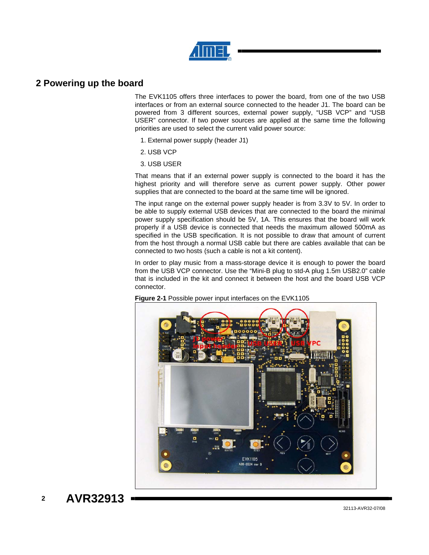

### **2 Powering up the board**

The EVK1105 offers three interfaces to power the board, from one of the two USB interfaces or from an external source connected to the header J1. The board can be powered from 3 different sources, external power supply, "USB VCP" and "USB USER" connector. If two power sources are applied at the same time the following priorities are used to select the current valid power source:

- 1. External power supply (header J1)
- 2. USB VCP
- 3. USB USER

That means that if an external power supply is connected to the board it has the highest priority and will therefore serve as current power supply. Other power supplies that are connected to the board at the same time will be ignored.

The input range on the external power supply header is from 3.3V to 5V. In order to be able to supply external USB devices that are connected to the board the minimal power supply specification should be 5V, 1A. This ensures that the board will work properly if a USB device is connected that needs the maximum allowed 500mA as specified in the USB specification. It is not possible to draw that amount of current from the host through a normal USB cable but there are cables available that can be connected to two hosts (such a cable is not a kit content).

In order to play music from a mass-storage device it is enough to power the board from the USB VCP connector. Use the "Mini-B plug to std-A plug 1.5m USB2.0" cable that is included in the kit and connect it between the host and the board USB VCP connector.



**Figure 2-1** Possible power input interfaces on the EVK1105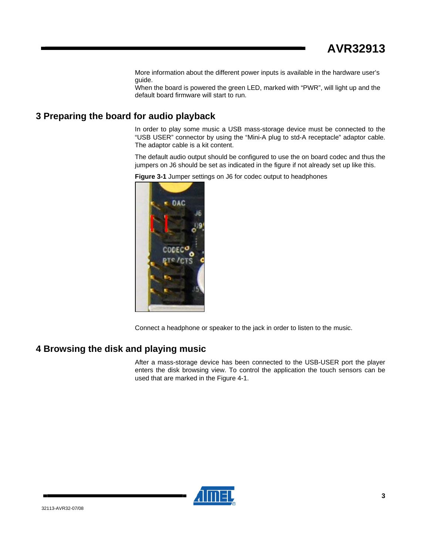More information about the different power inputs is available in the hardware user's guide.

When the board is powered the green LED, marked with "PWR", will light up and the default board firmware will start to run.

## **3 Preparing the board for audio playback**

In order to play some music a USB mass-storage device must be connected to the "USB USER" connector by using the "Mini-A plug to std-A receptacle" adaptor cable. The adaptor cable is a kit content.

The default audio output should be configured to use the on board codec and thus the jumpers on J6 should be set as indicated in the figure if not already set up like this.





Connect a headphone or speaker to the jack in order to listen to the music.

# **4 Browsing the disk and playing music**

After a mass-storage device has been connected to the USB-USER port the player enters the disk browsing view. To control the application the touch sensors can be used that are marked in the Figure 4-1.

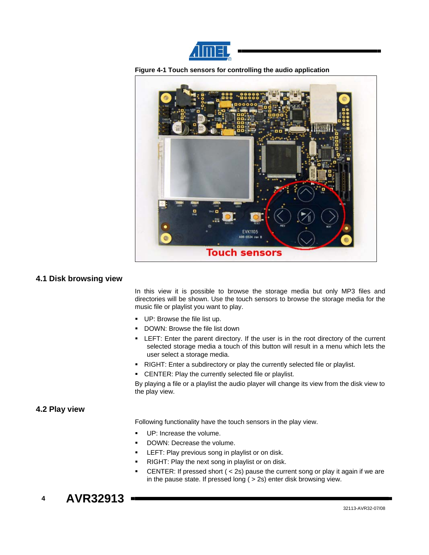





#### **4.1 Disk browsing view**

In this view it is possible to browse the storage media but only MP3 files and directories will be shown. Use the touch sensors to browse the storage media for the music file or playlist you want to play.

- UP: Browse the file list up.
- **DOWN: Browse the file list down**
- LEFT: Enter the parent directory. If the user is in the root directory of the current selected storage media a touch of this button will result in a menu which lets the user select a storage media.
- RIGHT: Enter a subdirectory or play the currently selected file or playlist.
- **CENTER: Play the currently selected file or playlist.**

By playing a file or a playlist the audio player will change its view from the disk view to the play view.

### **4.2 Play view**

Following functionality have the touch sensors in the play view.

- UP: Increase the volume.
- DOWN: Decrease the volume.
- LEFT: Play previous song in playlist or on disk.
- RIGHT: Play the next song in playlist or on disk.
- CENTER: If pressed short ( < 2s) pause the current song or play it again if we are in the pause state. If pressed long ( > 2s) enter disk browsing view.

# **4 AVR32913**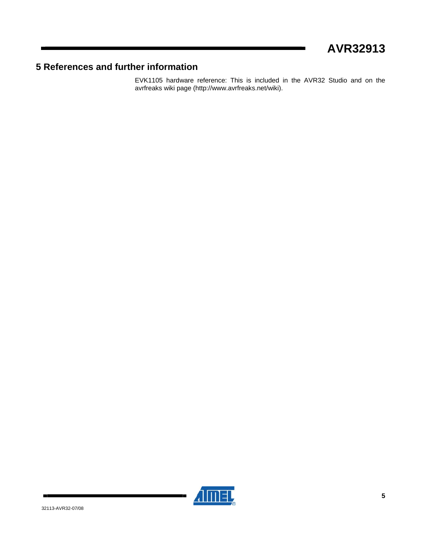# **5 References and further information**

EVK1105 hardware reference: This is included in the AVR32 Studio and on the avrfreaks wiki page (http://www.avrfreaks.net/wiki).

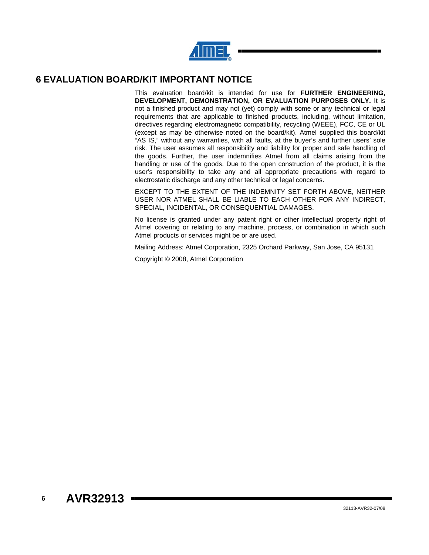

### **6 EVALUATION BOARD/KIT IMPORTANT NOTICE**

This evaluation board/kit is intended for use for **FURTHER ENGINEERING, DEVELOPMENT, DEMONSTRATION, OR EVALUATION PURPOSES ONLY.** It is not a finished product and may not (yet) comply with some or any technical or legal requirements that are applicable to finished products, including, without limitation, directives regarding electromagnetic compatibility, recycling (WEEE), FCC, CE or UL (except as may be otherwise noted on the board/kit). Atmel supplied this board/kit "AS IS," without any warranties, with all faults, at the buyer's and further users' sole risk. The user assumes all responsibility and liability for proper and safe handling of the goods. Further, the user indemnifies Atmel from all claims arising from the handling or use of the goods. Due to the open construction of the product, it is the user's responsibility to take any and all appropriate precautions with regard to electrostatic discharge and any other technical or legal concerns.

EXCEPT TO THE EXTENT OF THE INDEMNITY SET FORTH ABOVE, NEITHER USER NOR ATMEL SHALL BE LIABLE TO EACH OTHER FOR ANY INDIRECT, SPECIAL, INCIDENTAL, OR CONSEQUENTIAL DAMAGES.

No license is granted under any patent right or other intellectual property right of Atmel covering or relating to any machine, process, or combination in which such Atmel products or services might be or are used.

Mailing Address: Atmel Corporation, 2325 Orchard Parkway, San Jose, CA 95131

Copyright © 2008, Atmel Corporation